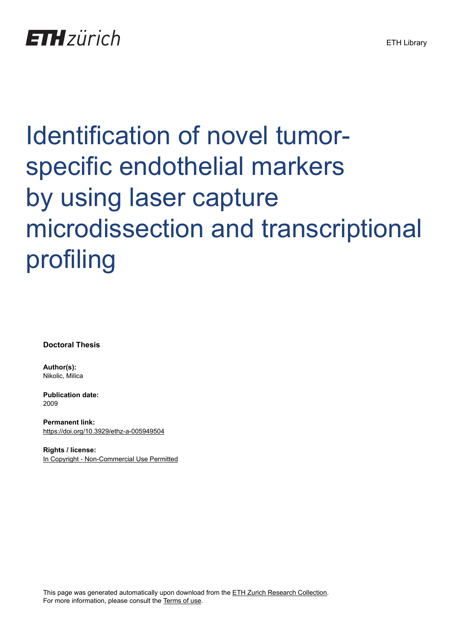# Identification of novel tumorspecific endothelial markers by using laser capture microdissection and transcriptional profiling

**Doctoral Thesis**

**Author(s):** Nikolic, Milica

**Publication date:** 2009

**Permanent link:** <https://doi.org/10.3929/ethz-a-005949504>

**Rights / license:** [In Copyright - Non-Commercial Use Permitted](http://rightsstatements.org/page/InC-NC/1.0/)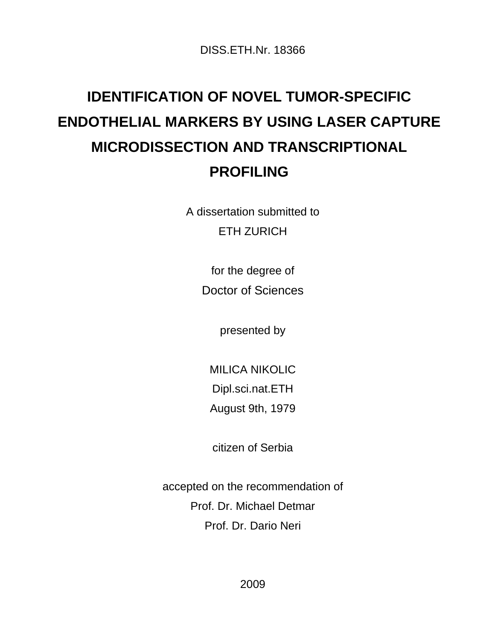DISS.ETH.Nr. 18366

# **IDENTIFICATION OF NOVEL TUMOR-SPECIFIC ENDOTHELIAL MARKERS BY USING LASER CAPTURE MICRODISSECTION AND TRANSCRIPTIONAL PROFILING**

A dissertation submitted to ETH ZURICH

> for the degree of Doctor of Sciences

> > presented by

MILICA NIKOLIC Dipl.sci.nat.ETH

August 9th, 1979

citizen of Serbia

accepted on the recommendation of Prof. Dr. Michael Detmar Prof. Dr. Dario Neri

2009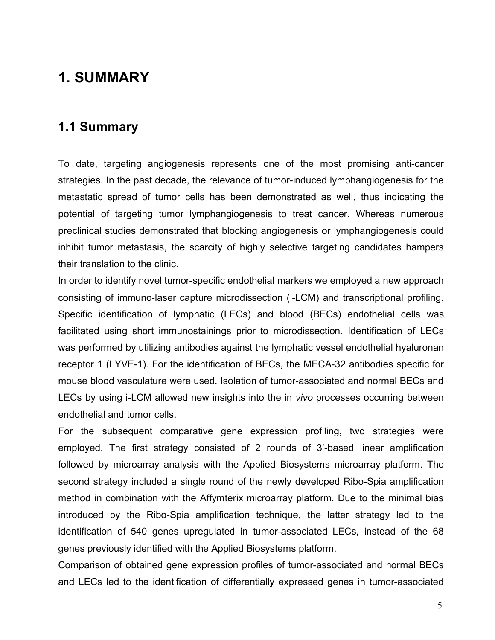## **1. SUMMARY**

#### **1.1 Summary**

To date, targeting angiogenesis represents one of the most promising anti-cancer strategies. In the past decade, the relevance of tumor-induced lymphangiogenesis for the metastatic spread of tumor cells has been demonstrated as well, thus indicating the potential of targeting tumor lymphangiogenesis to treat cancer. Whereas numerous preclinical studies demonstrated that blocking angiogenesis or lymphangiogenesis could inhibit tumor metastasis, the scarcity of highly selective targeting candidates hampers their translation to the clinic.

In order to identify novel tumor-specific endothelial markers we employed a new approach consisting of immuno-laser capture microdissection (i-LCM) and transcriptional profiling. Specific identification of lymphatic (LECs) and blood (BECs) endothelial cells was facilitated using short immunostainings prior to microdissection. Identification of LECs was performed by utilizing antibodies against the lymphatic vessel endothelial hyaluronan receptor 1 (LYVE-1). For the identification of BECs, the MECA-32 antibodies specific for mouse blood vasculature were used. Isolation of tumor-associated and normal BECs and LECs by using i-LCM allowed new insights into the in *vivo* processes occurring between endothelial and tumor cells.

For the subsequent comparative gene expression profiling, two strategies were employed. The first strategy consisted of 2 rounds of 3'-based linear amplification followed by microarray analysis with the Applied Biosystems microarray platform. The second strategy included a single round of the newly developed Ribo-Spia amplification method in combination with the Affymterix microarray platform. Due to the minimal bias introduced by the Ribo-Spia amplification technique, the latter strategy led to the identification of 540 genes upregulated in tumor-associated LECs, instead of the 68 genes previously identified with the Applied Biosystems platform.

Comparison of obtained gene expression profiles of tumor-associated and normal BECs and LECs led to the identification of differentially expressed genes in tumor-associated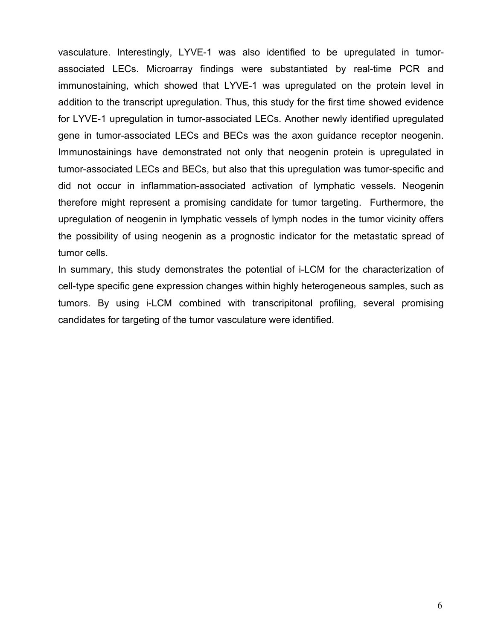vasculature. Interestingly, LYVE-1 was also identified to be upregulated in tumorassociated LECs. Microarray findings were substantiated by real-time PCR and immunostaining, which showed that LYVE-1 was upregulated on the protein level in addition to the transcript upregulation. Thus, this study for the first time showed evidence for LYVE-1 upregulation in tumor-associated LECs. Another newly identified upregulated gene in tumor-associated LECs and BECs was the axon guidance receptor neogenin. Immunostainings have demonstrated not only that neogenin protein is upregulated in tumor-associated LECs and BECs, but also that this upregulation was tumor-specific and did not occur in inflammation-associated activation of lymphatic vessels. Neogenin therefore might represent a promising candidate for tumor targeting. Furthermore, the upregulation of neogenin in lymphatic vessels of lymph nodes in the tumor vicinity offers the possibility of using neogenin as a prognostic indicator for the metastatic spread of tumor cells.

In summary, this study demonstrates the potential of i-LCM for the characterization of cell-type specific gene expression changes within highly heterogeneous samples, such as tumors. By using i-LCM combined with transcripitonal profiling, several promising candidates for targeting of the tumor vasculature were identified.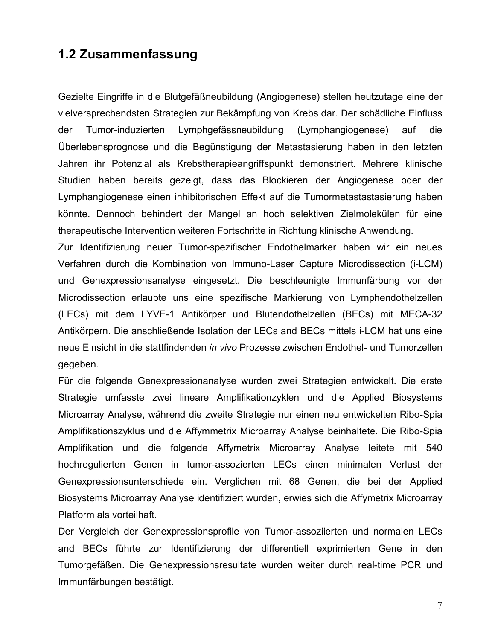### **1.2 Zusammenfassung**

Gezielte Eingriffe in die Blutgefäßneubildung (Angiogenese) stellen heutzutage eine der vielversprechendsten Strategien zur Bekämpfung von Krebs dar. Der schädliche Einfluss der Tumor-induzierten Lymphgefässneubildung (Lymphangiogenese) auf die Überlebensprognose und die Begünstigung der Metastasierung haben in den letzten Jahren ihr Potenzial als Krebstherapieangriffspunkt demonstriert. Mehrere klinische Studien haben bereits gezeigt, dass das Blockieren der Angiogenese oder der Lymphangiogenese einen inhibitorischen Effekt auf die Tumormetastastasierung haben könnte. Dennoch behindert der Mangel an hoch selektiven Zielmolekülen für eine therapeutische Intervention weiteren Fortschritte in Richtung klinische Anwendung.

Zur Identifizierung neuer Tumor-spezifischer Endothelmarker haben wir ein neues Verfahren durch die Kombination von Immuno-Laser Capture Microdissection (i-LCM) und Genexpressionsanalyse eingesetzt. Die beschleunigte Immunfärbung vor der Microdissection erlaubte uns eine spezifische Markierung von Lymphendothelzellen (LECs) mit dem LYVE-1 Antikörper und Blutendothelzellen (BECs) mit MECA-32 Antikörpern. Die anschließende Isolation der LECs and BECs mittels i-LCM hat uns eine neue Einsicht in die stattfindenden *in vivo* Prozesse zwischen Endothel- und Tumorzellen gegeben.

Für die folgende Genexpressionanalyse wurden zwei Strategien entwickelt. Die erste Strategie umfasste zwei lineare Amplifikationzyklen und die Applied Biosystems Microarray Analyse, während die zweite Strategie nur einen neu entwickelten Ribo-Spia Amplifikationszyklus und die Affymmetrix Microarray Analyse beinhaltete. Die Ribo-Spia Amplifikation und die folgende Affymetrix Microarray Analyse leitete mit 540 hochregulierten Genen in tumor-assozierten LECs einen minimalen Verlust der Genexpressionsunterschiede ein. Verglichen mit 68 Genen, die bei der Applied Biosystems Microarray Analyse identifiziert wurden, erwies sich die Affymetrix Microarray Platform als vorteilhaft.

Der Vergleich der Genexpressionsprofile von Tumor-assoziierten und normalen LECs and BECs führte zur Identifizierung der differentiell exprimierten Gene in den Tumorgefäßen. Die Genexpressionsresultate wurden weiter durch real-time PCR und Immunfärbungen bestätigt.

7